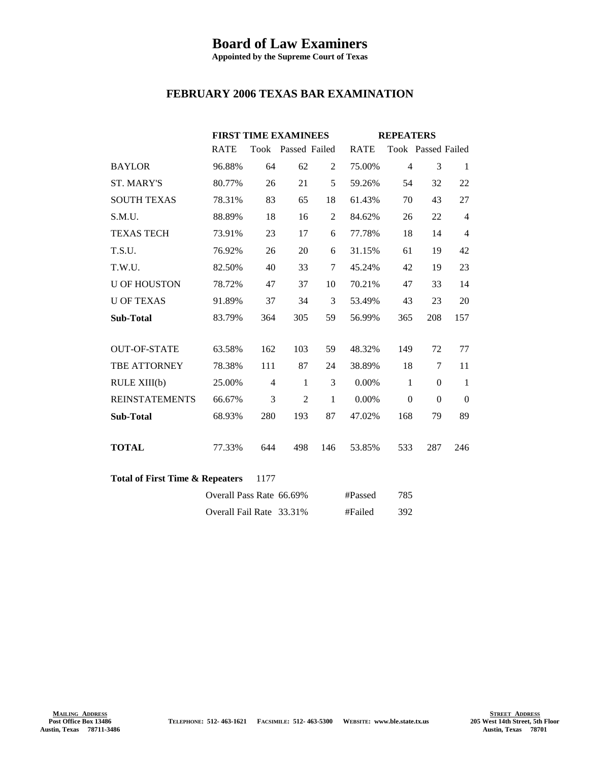## **Board of Law Examiners**

**Appointed by the Supreme Court of Texas**

## **FEBRUARY 2006 TEXAS BAR EXAMINATION**

|                                                    |                          | <b>FIRST TIME EXAMINEES</b> |                    |              | <b>REPEATERS</b> |                |                    |                |  |
|----------------------------------------------------|--------------------------|-----------------------------|--------------------|--------------|------------------|----------------|--------------------|----------------|--|
|                                                    | <b>RATE</b>              |                             | Took Passed Failed |              | <b>RATE</b>      |                | Took Passed Failed |                |  |
| <b>BAYLOR</b>                                      | 96.88%                   | 64                          | 62                 | 2            | 75.00%           | $\overline{4}$ | 3                  | 1              |  |
| <b>ST. MARY'S</b>                                  | 80.77%                   | 26                          | 21                 | 5            | 59.26%           | 54             | 32                 | 22             |  |
| <b>SOUTH TEXAS</b>                                 | 78.31%                   | 83                          | 65                 | 18           | 61.43%           | 70             | 43                 | 27             |  |
| S.M.U.                                             | 88.89%                   | 18                          | 16                 | 2            | 84.62%           | 26             | 22                 | $\overline{4}$ |  |
| <b>TEXAS TECH</b>                                  | 73.91%                   | 23                          | 17                 | 6            | 77.78%           | 18             | 14                 | 4              |  |
| T.S.U.                                             | 76.92%                   | 26                          | 20                 | 6            | 31.15%           | 61             | 19                 | 42             |  |
| T.W.U.                                             | 82.50%                   | 40                          | 33                 | $\tau$       | 45.24%           | 42             | 19                 | 23             |  |
| <b>U OF HOUSTON</b>                                | 78.72%                   | 47                          | 37                 | 10           | 70.21%           | 47             | 33                 | 14             |  |
| <b>U OF TEXAS</b>                                  | 91.89%                   | 37                          | 34                 | 3            | 53.49%           | 43             | 23                 | 20             |  |
| <b>Sub-Total</b>                                   | 83.79%                   | 364                         | 305                | 59           | 56.99%           | 365            | 208                | 157            |  |
|                                                    |                          |                             |                    |              |                  |                |                    |                |  |
| <b>OUT-OF-STATE</b>                                | 63.58%                   | 162                         | 103                | 59           | 48.32%           | 149            | 72                 | 77             |  |
| TBE ATTORNEY                                       | 78.38%                   | 111                         | 87                 | 24           | 38.89%           | 18             | $\tau$             | 11             |  |
| RULE XIII(b)                                       | 25.00%                   | $\overline{4}$              | 1                  | 3            | 0.00%            | $\mathbf{1}$   | $\Omega$           | $\mathbf{1}$   |  |
| <b>REINSTATEMENTS</b>                              | 66.67%                   | 3                           | $\overline{2}$     | $\mathbf{1}$ | 0.00%            | $\theta$       | $\Omega$           | $\mathbf{0}$   |  |
| <b>Sub-Total</b>                                   | 68.93%                   | 280                         | 193                | 87           | 47.02%           | 168            | 79                 | 89             |  |
|                                                    |                          |                             |                    |              |                  |                |                    |                |  |
| <b>TOTAL</b>                                       | 77.33%                   | 644                         | 498                | 146          | 53.85%           | 533            | 287                | 246            |  |
|                                                    |                          |                             |                    |              |                  |                |                    |                |  |
| <b>Total of First Time &amp; Repeaters</b><br>1177 |                          |                             |                    |              |                  |                |                    |                |  |
|                                                    | Overall Pass Rate 66.69% |                             |                    |              | #Passed          | 785            |                    |                |  |
|                                                    | Overall Fail Rate 33.31% |                             |                    |              | #Failed          | 392            |                    |                |  |